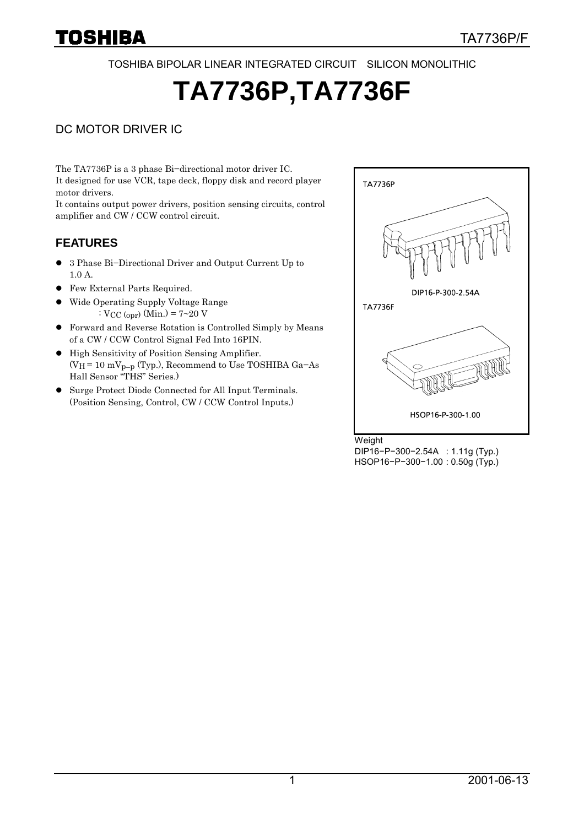TOSHIBA BIPOLAR LINEAR INTEGRATED CIRCUIT SILICON MONOLITHIC

# **TA7736P,TA7736F**

### DC MOTOR DRIVER IC

The TA7736P is a 3 phase Bi−directional motor driver IC. It designed for use VCR, tape deck, floppy disk and record player motor drivers.

It contains output power drivers, position sensing circuits, control amplifier and CW / CCW control circuit.

### **FEATURES**

- z 3 Phase Bi−Directional Driver and Output Current Up to 1.0 A.
- **•** Few External Parts Required.
- Wide Operating Supply Voltage Range :  $V_{CC (opr)} (Min.) = 7~20 V$
- z Forward and Reverse Rotation is Controlled Simply by Means of a CW / CCW Control Signal Fed Into 16PIN.
- $\bullet~$  High Sensitivity of Position Sensing Amplifier. (VH = 10 mVp−p (Typ.), Recommend to Use TOSHIBA Ga−As Hall Sensor "THS" Series.)
- Surge Protect Diode Connected for All Input Terminals. (Position Sensing, Control, CW / CCW Control Inputs.)



Weight DIP16−P−300−2.54A : 1.11g (Typ.) HSOP16−P−300−1.00 : 0.50g (Typ.)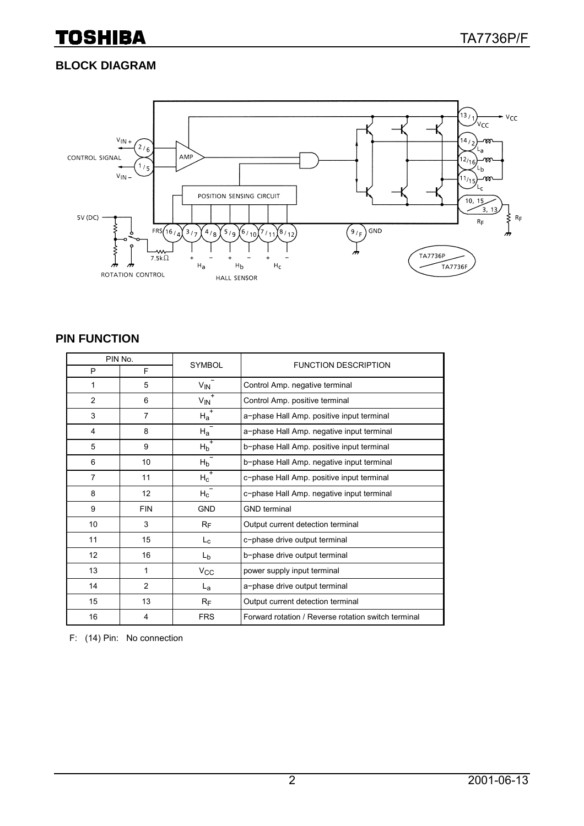### **BLOCK DIAGRAM**



#### **PIN FUNCTION**

| PIN No.        |                |                        |                                                     |  |
|----------------|----------------|------------------------|-----------------------------------------------------|--|
| P              | F              | <b>SYMBOL</b>          | <b>FUNCTION DESCRIPTION</b>                         |  |
| 1              | 5              | $V_{\text{IN}}$        | Control Amp. negative terminal                      |  |
| $\overline{2}$ | 6              | $V_{\text{IN}}^+$      | Control Amp. positive terminal                      |  |
| 3              | $\overline{7}$ | $\overline{H_{a}^{+}}$ | a-phase Hall Amp. positive input terminal           |  |
| 4              | 8              | $\overline{H_a}^-$     | a-phase Hall Amp. negative input terminal           |  |
| 5              | 9              | $H_b^+$                | b-phase Hall Amp. positive input terminal           |  |
| 6              | 10             | $H_b$ <sup>-</sup>     | b-phase Hall Amp. negative input terminal           |  |
| $\overline{7}$ | 11             | $H_c^+$                | c-phase Hall Amp. positive input terminal           |  |
| 8              | 12             | $H_{\rm C}$            | c-phase Hall Amp. negative input terminal           |  |
| 9              | <b>FIN</b>     | <b>GND</b>             | <b>GND</b> terminal                                 |  |
| 10             | 3              | $R_F$                  | Output current detection terminal                   |  |
| 11             | 15             | $L_{\rm c}$            | c-phase drive output terminal                       |  |
| 12             | 16             | L <sub>b</sub>         | b-phase drive output terminal                       |  |
| 13             | 1              | $V_{\rm CC}$           | power supply input terminal                         |  |
| 14             | 2              | La                     | a-phase drive output terminal                       |  |
| 15             | 13             | $R_F$                  | Output current detection terminal                   |  |
| 16             | 4              | <b>FRS</b>             | Forward rotation / Reverse rotation switch terminal |  |

F: (14) Pin: No connection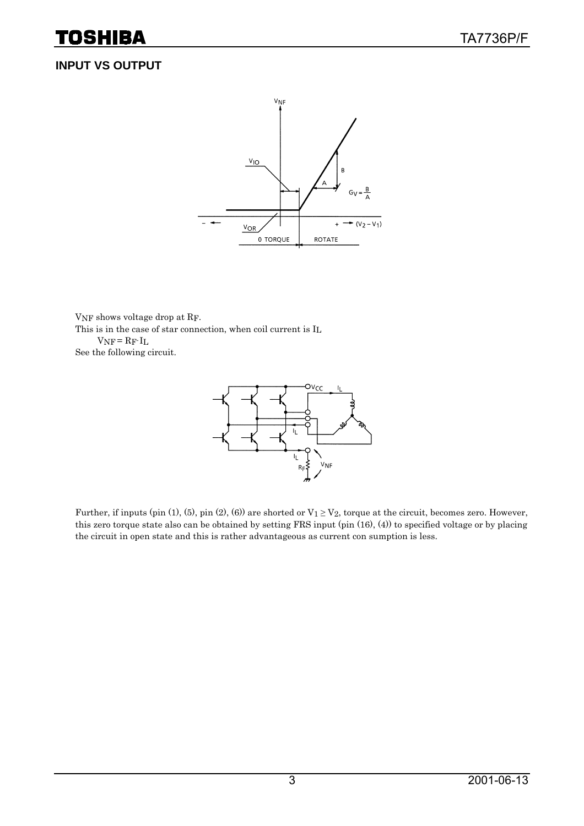# **INPUT VS OUTPUT**



VNF shows voltage drop at RF. This is in the case of star connection, when coil current is IL  $V_{NF} = R_F \cdot I_L$ 

See the following circuit.



Further, if inputs (pin (1), (5), pin (2), (6)) are shorted or  $V_1 \ge V_2$ , torque at the circuit, becomes zero. However, this zero torque state also can be obtained by setting FRS input (pin (16), (4)) to specified voltage or by placing the circuit in open state and this is rather advantageous as current con sumption is less.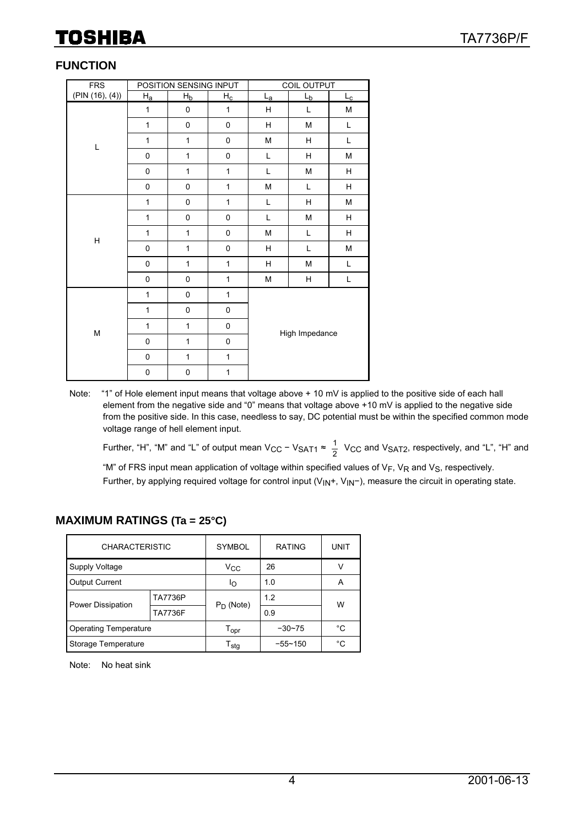### **FUNCTION**

| <b>FRS</b>      | POSITION SENSING INPUT |              |                           | COIL OUTPUT             |                                                                                       |             |
|-----------------|------------------------|--------------|---------------------------|-------------------------|---------------------------------------------------------------------------------------|-------------|
| (PIN (16), (4)) | $H_{a}$                | $H_b$        | $\mathsf{H}_{\mathsf{C}}$ | $L_{a}$                 | $L_b$                                                                                 | $L_{\rm C}$ |
|                 | 1                      | $\pmb{0}$    | $\mathbf{1}$              | Н                       | Г                                                                                     | М           |
|                 | $\mathbf{1}$           | 0            | $\pmb{0}$                 | Н                       | ${\sf M}$                                                                             | Г           |
| L               | 1                      | $\mathbf{1}$ | $\pmb{0}$                 | M                       | Н                                                                                     | Г           |
|                 | 0                      | $\mathbf{1}$ | $\pmb{0}$                 | Г                       | Н                                                                                     | М           |
|                 | 0                      | $\mathbf{1}$ | $\mathbf{1}$              | Г                       | $\mathsf{M}% _{T}=\mathsf{M}_{T}\!\left( a,b\right) ,\ \mathsf{M}_{T}=\mathsf{M}_{T}$ | Н           |
|                 | 0                      | 0            | 1                         | M                       | Г                                                                                     | H           |
|                 | $\mathbf{1}$           | 0            | 1                         | Г                       | Н                                                                                     | М           |
|                 | 1                      | 0            | $\pmb{0}$                 | Г                       | $\mathsf{M}% _{T}=\mathsf{M}_{T}\!\left( a,b\right) ,\ \mathsf{M}_{T}=\mathsf{M}_{T}$ | H           |
| $\mathsf{H}$    | $\mathbf{1}$           | $\mathbf{1}$ | $\pmb{0}$                 | M                       | Г                                                                                     | Н           |
|                 | 0                      | $\mathbf{1}$ | $\pmb{0}$                 | H                       | Г                                                                                     | М           |
|                 | 0                      | $\mathbf{1}$ | $\mathbf{1}$              | $\overline{\mathsf{H}}$ | M                                                                                     | L           |
|                 | 0                      | $\pmb{0}$    | $\mathbf{1}$              | M                       | Н                                                                                     | Г           |
|                 | $\mathbf{1}$           | 0            | 1                         | High Impedance          |                                                                                       |             |
|                 | $\mathbf 1$            | 0            | $\pmb{0}$                 |                         |                                                                                       |             |
| ${\sf M}$       | 1                      | $\mathbf{1}$ | $\pmb{0}$                 |                         |                                                                                       |             |
|                 | $\mathsf 0$            | $\mathbf{1}$ | $\pmb{0}$                 |                         |                                                                                       |             |
|                 | 0                      | $\mathbf{1}$ | $\mathbf{1}$              |                         |                                                                                       |             |
|                 | 0                      | 0            | 1                         |                         |                                                                                       |             |

Note: "1" of Hole element input means that voltage above + 10 mV is applied to the positive side of each hall element from the negative side and "0" means that voltage above +10 mV is applied to the negative side from the positive side. In this case, needless to say, DC potential must be within the specified common mode voltage range of hell element input.

Further, "H", "M" and "L" of output mean V<sub>CC</sub> - V<sub>SAT1</sub>  $\approx \frac{1}{2}$  V<sub>CC</sub> and V<sub>SAT2</sub>, respectively, and "L", "H" and

"M" of FRS input mean application of voltage within specified values of  $V_F$ ,  $V_R$  and  $V_S$ , respectively. Further, by applying required voltage for control input (V<sub>IN</sub>+, V<sub>IN</sub>−), measure the circuit in operating state.

### **MAXIMUM RATINGS (Ta = 25°C)**

| <b>CHARACTERISTIC</b>        |                | <b>SYMBOL</b>                             | <b>RATING</b> | UNIT |  |
|------------------------------|----------------|-------------------------------------------|---------------|------|--|
| Supply Voltage               |                | Vcc                                       | 26            |      |  |
| <b>Output Current</b>        |                | ΙO                                        | 1.0           | A    |  |
| Power Dissipation            | <b>TA7736P</b> | $P_D$ (Note)                              | 1.2           | W    |  |
|                              | <b>TA7736F</b> |                                           | 0.9           |      |  |
| <b>Operating Temperature</b> |                | $-30 - 75$<br>$\mathsf{T}_{\mathsf{opr}}$ |               | °C   |  |
| Storage Temperature          |                | $\mathsf{T}_{\textbf{stg}}$               | $-55 - 150$   | °C   |  |

Note: No heat sink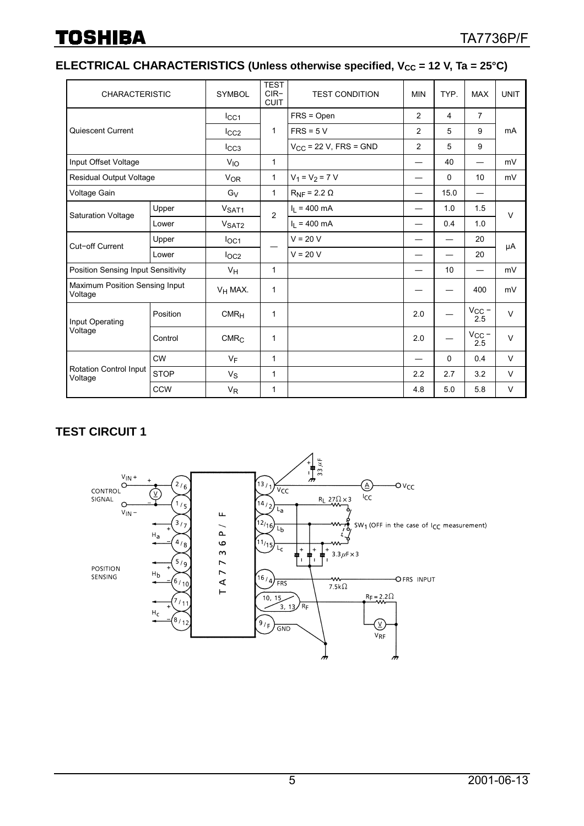# **ELECTRICAL CHARACTERISTICS (Unless otherwise specified, V<sub>CC</sub> = 12 V, Ta = 25°C)**

| <b>CHARACTERISTIC</b>                     |             | <b>SYMBOL</b>         | <b>TEST</b><br>$CIR-$<br><b>CUIT</b> | <b>TEST CONDITION</b>          | TYP.<br><b>MIN</b> |      | <b>MAX</b>            | <b>UNIT</b> |
|-------------------------------------------|-------------|-----------------------|--------------------------------------|--------------------------------|--------------------|------|-----------------------|-------------|
| Quiescent Current                         |             | $_{\text{ICC1}}$      | $\mathbf{1}$                         | $FRS = Open$                   | 2                  | 4    | $\overline{7}$        | mA          |
|                                           |             | $_{\text{ICC2}}$      |                                      | $FRS = 5 V$                    | 2                  | 5    | 9                     |             |
|                                           |             | $_{\text{LCG}}$       |                                      | $V_{CC}$ = 22 V, FRS = GND     | 2                  | 5    | 9                     |             |
| Input Offset Voltage                      |             | $V_{IO}$              | $\mathbf{1}$                         |                                |                    | 40   |                       | mV          |
| <b>Residual Output Voltage</b>            |             | <b>V<sub>OR</sub></b> | 1                                    | $V_1 = V_2 = 7 V$              |                    | 0    | 10                    | mV          |
| Voltage Gain                              |             | $G_V$                 | $\mathbf{1}$                         | $R_{\text{NF}}$ = 2.2 $\Omega$ |                    | 15.0 | —                     |             |
|                                           | Upper       | V <sub>SAT1</sub>     | $\overline{2}$                       | $I_1 = 400$ mA                 |                    | 1.0  | 1.5                   | $\vee$      |
| <b>Saturation Voltage</b>                 | Lower       | V <sub>SAT2</sub>     |                                      | $I_1 = 400$ mA                 |                    | 0.4  | 1.0                   |             |
| Cut-off Current                           | Upper       | $I_{OC1}$             |                                      | $V = 20 V$                     |                    |      | 20                    | μA          |
|                                           | Lower       | $I_{\text{OC2}}$      |                                      | $V = 20 V$                     |                    |      | 20                    |             |
| Position Sensing Input Sensitivity        |             | $V_H$                 | $\mathbf{1}$                         |                                |                    | 10   |                       | mV          |
| Maximum Position Sensing Input<br>Voltage |             | $V_H$ MAX.            | 1                                    |                                |                    |      | 400                   | mV          |
| Input Operating<br>Voltage                | Position    | CMR <sub>H</sub>      | 1                                    |                                | 2.0                |      | $V_{\rm CC}$ – 2.5    | $\vee$      |
|                                           | Control     | CMR <sub>C</sub>      | 1                                    |                                | 2.0                |      | $V_{\rm CC}$ –<br>2.5 | $\vee$      |
| Rotation Control Input<br>Voltage         | <b>CW</b>   | VF                    | 1                                    |                                |                    | 0    | 0.4                   | V           |
|                                           | <b>STOP</b> | $V_{S}$               | 1                                    |                                | 2.2                | 2.7  | 3.2                   | V           |
|                                           | CCW         | $V_{R}$               | 1                                    |                                | 4.8                | 5.0  | 5.8                   | $\vee$      |

### **TEST CIRCUIT 1**

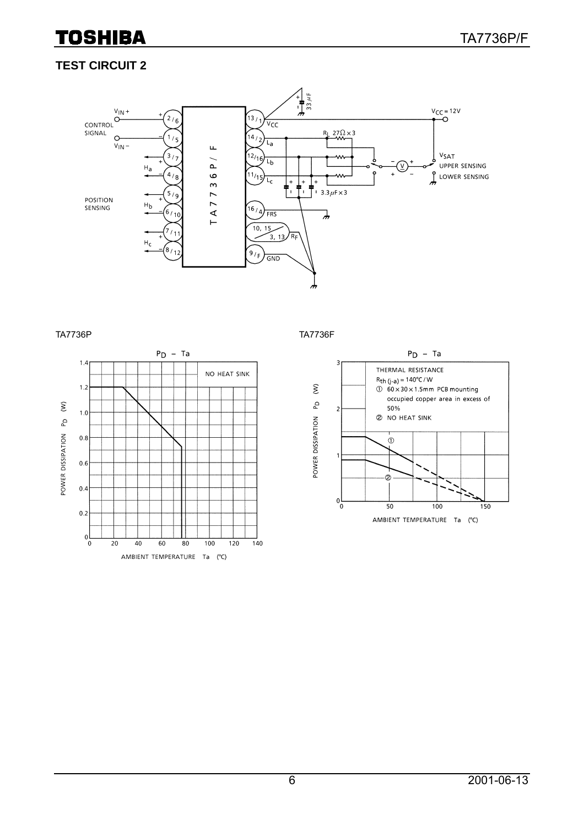

### **TEST CIRCUIT 2**



#### TA7736P TA7736F



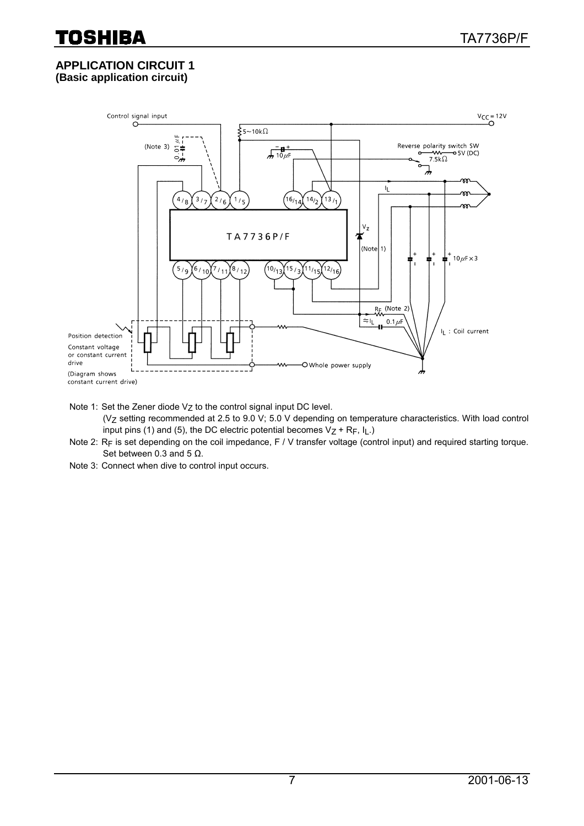#### **APPLICATION CIRCUIT 1 (Basic application circuit)**



Note 1: Set the Zener diode  $V_Z$  to the control signal input DC level.

- (Vz setting recommended at 2.5 to 9.0 V; 5.0 V depending on temperature characteristics. With load control input pins (1) and (5), the DC electric potential becomes  $V_Z$  + R<sub>F</sub>, I<sub>L</sub>.)
- Note 2: RF is set depending on the coil impedance, F / V transfer voltage (control input) and required starting torque. Set between 0.3 and 5  $\Omega$ .
- Note 3: Connect when dive to control input occurs.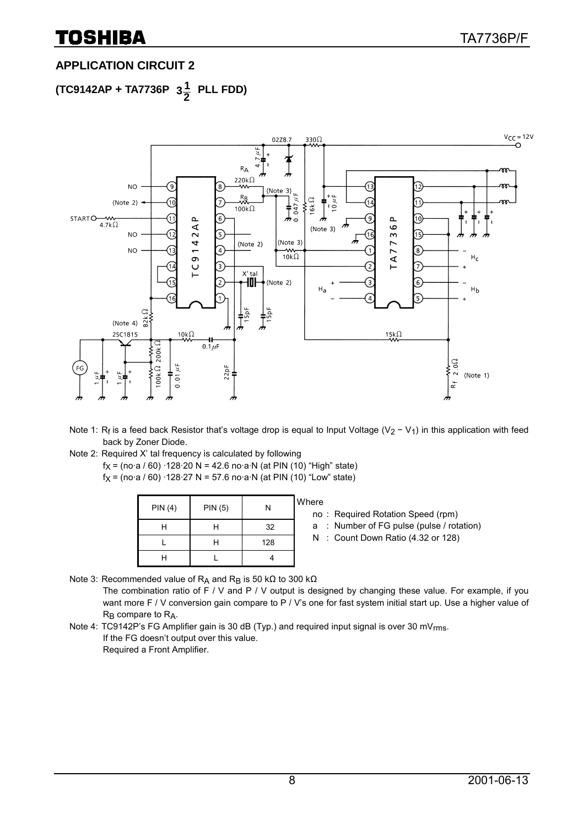# **APPLICATION CIRCUIT 2**

**(TC9142AP + TA7736P**   $3\frac{1}{2}$  PLL FDD)



- Note 1: Rf is a feed back Resistor that's voltage drop is equal to Input Voltage (V<sub>2</sub> − V<sub>1</sub>) in this application with feed back by Zoner Diode.
- Note 2: Required X' tal frequency is calculated by following  $f_X = (no·a/60) \cdot 128 \cdot 20 N = 42.6 no·a·N (at PIN (10) "High" state)$  $f_X = (no·a / 60) \cdot 128 \cdot 27 \text{ N} = 57.6 \text{ no·a·N (at PIN (10) "Low" state)}$

| PIN(4) | <b>PIN (5)</b> | Ν   | <b>Where</b><br>no |
|--------|----------------|-----|--------------------|
| Н      |                | 32  | а                  |
|        |                | 128 |                    |
| н      |                |     |                    |

no : Required Rotation Speed (rpm)

a : Number of FG pulse (pulse / rotation)

N : Count Down Ratio (4.32 or 128)

Note 3: Recommended value of R<sub>A</sub> and R<sub>B</sub> is 50 kΩ to 300 kΩ

The combination ratio of  $F / V$  and  $P / V$  output is designed by changing these value. For example, if you want more F / V conversion gain compare to P / V's one for fast system initial start up. Use a higher value of R<sub>B</sub> compare to R<sub>A</sub>.

Note 4: TC9142P's FG Amplifier gain is 30 dB (Typ.) and required input signal is over 30 mV<sub>rms</sub>. If the FG doesn't output over this value. Required a Front Amplifier.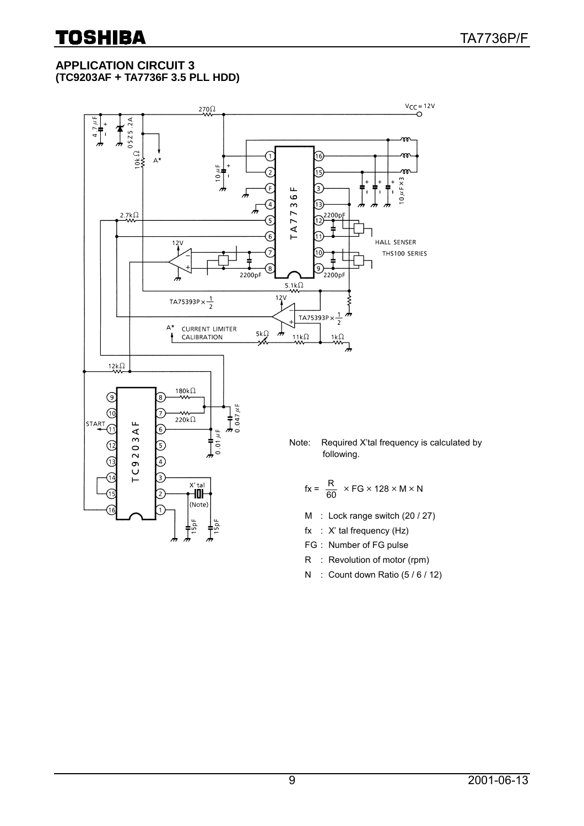#### **APPLICATION CIRCUIT 3 (TC9203AF + TA7736F 3.5 PLL HDD)**



- FG : Number of FG pulse
- R : Revolution of motor (rpm)
- N : Count down Ratio (5 / 6 / 12)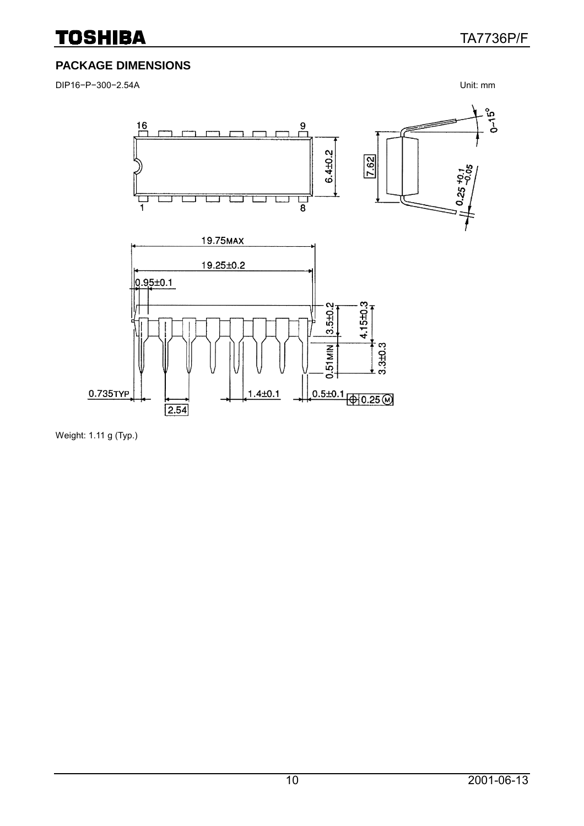# **PACKAGE DIMENSIONS**

DIP16−P−300−2.54A Unit: mm



Weight: 1.11 g (Typ.)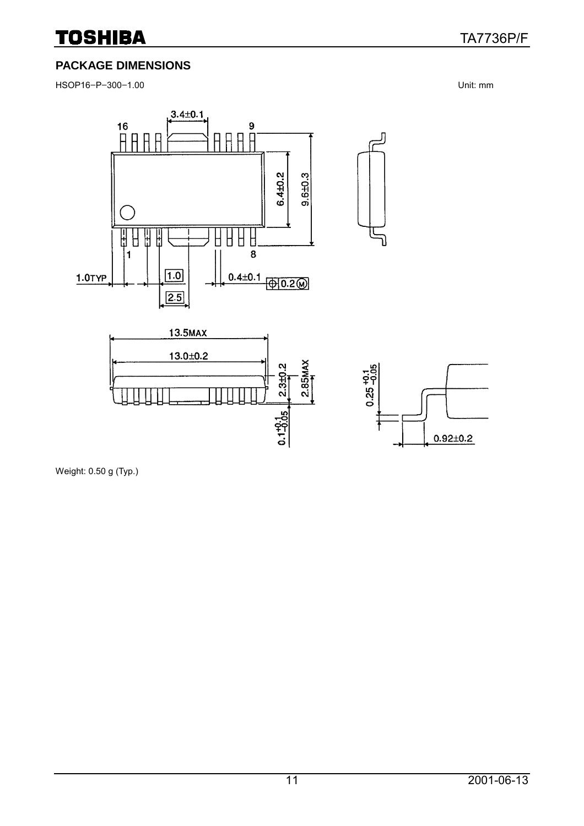### **PACKAGE DIMENSIONS**

HSOP16−P−300−1.00 Unit: mm



Weight: 0.50 g (Typ.)